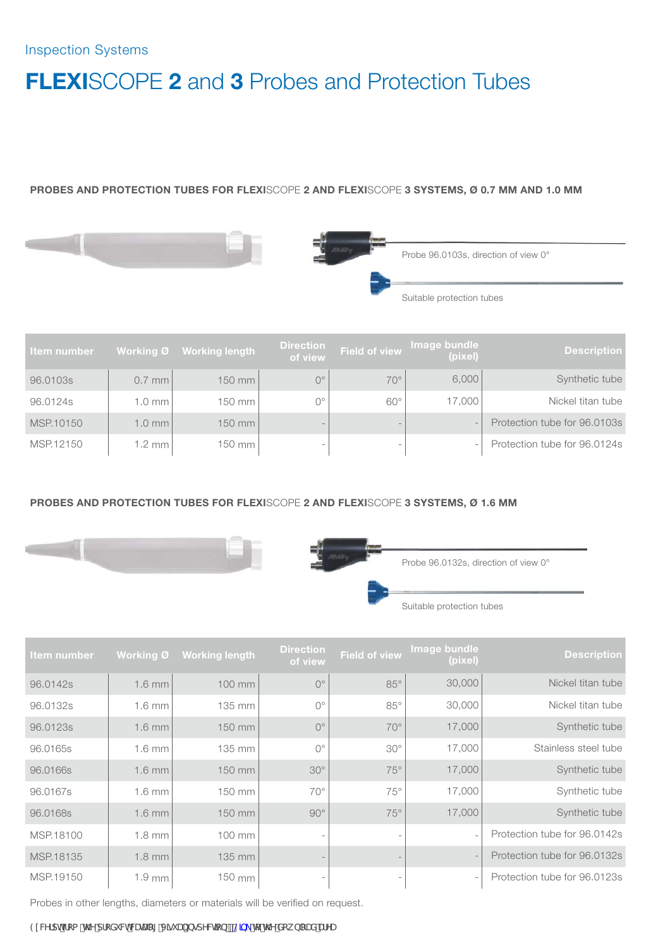#### PROBES AND PROTECTION TUBES FOR FLEXISCOPE 2 AND FLEXISCOPE 3 SYSTEMS, Ø 0.7 MM AND 1.0 MM





Probe 96.0103s, direction of view 0°

Suitable protection tubes

| Item number |          | Working Ø Working length | <b>Direction</b><br>of view | <b>Field of view</b> | Image bundle<br>(pixel)  | <b>Description</b>           |
|-------------|----------|--------------------------|-----------------------------|----------------------|--------------------------|------------------------------|
| 96,0103s    | $0.7$ mm | 150 mm                   | $O^{\circ}$                 | $70^\circ$           | 6,000                    | Synthetic tube               |
| 96.0124s    | 1.0 mm   | $150$ mm                 | $O^{\circ}$                 | $60^\circ$           | 17,000                   | Nickel titan tube            |
| MSP.10150   | 1.0 mm   | 150 mm                   |                             |                      |                          | Protection tube for 96,0103s |
| MSP.12150   | 1.2 mm   | 150 mm                   |                             |                      | $\overline{\phantom{a}}$ | Protection tube for 96.0124s |

### PROBES AND PROTECTION TUBES FOR FLEXISCOPE 2 AND FLEXISCOPE 3 SYSTEMS, Ø 1.6 MM





Probe 96.0132s, direction of view 0°

Suitable protection tubes

| <b>Item number</b> | <b>Working Ø</b> | <b>Working length</b> | <b>Direction</b><br>of view | <b>Field of view</b> | Image bundle<br>(pixel)  | <b>Description</b>           |
|--------------------|------------------|-----------------------|-----------------------------|----------------------|--------------------------|------------------------------|
| 96.0142s           | $1.6$ mm         | 100 mm                | $O^{\circ}$                 | $85^\circ$           | 30,000                   | Nickel titan tube            |
| 96,0132s           | $1.6$ mm         | 135 mm                | $O^{\circ}$                 | $85^\circ$           | 30,000                   | Nickel titan tube            |
| 96.0123s           | $1.6$ mm         | 150 mm                | $O^{\circ}$                 | $70^{\circ}$         | 17,000                   | Synthetic tube               |
| 96.0165s           | $1.6$ mm         | 135 mm                | $O^{\circ}$                 | $30^\circ$           | 17,000                   | Stainless steel tube         |
| 96.0166s           | $1.6$ mm         | 150 mm                | $30^\circ$                  | $75^\circ$           | 17,000                   | Synthetic tube               |
| 96,0167s           | $1.6$ mm         | 150 mm                | $70^{\circ}$                | $75^{\circ}$         | 17,000                   | Synthetic tube               |
| 96.0168s           | $1.6$ mm         | 150 mm                | $90^\circ$                  | $75^\circ$           | 17,000                   | Synthetic tube               |
| MSP.18100          | $1.8$ mm         | 100 mm                |                             |                      | $\overline{\phantom{a}}$ | Protection tube for 96.0142s |
| MSP.18135          | $1.8$ mm         | 135 mm                |                             |                      |                          | Protection tube for 96,0132s |
| MSP.19150          | $1.9 \text{ mm}$ | 150 mm                |                             |                      |                          | Protection tube for 96.0123s |

Probes in other lengths, diameters or materials will be verified on request.

9I WfdhZca KNYdfcXi WhWULDC[J]gi U`+bgdYWfcb ! @p\_'rc KNYXck b`cUXUrYU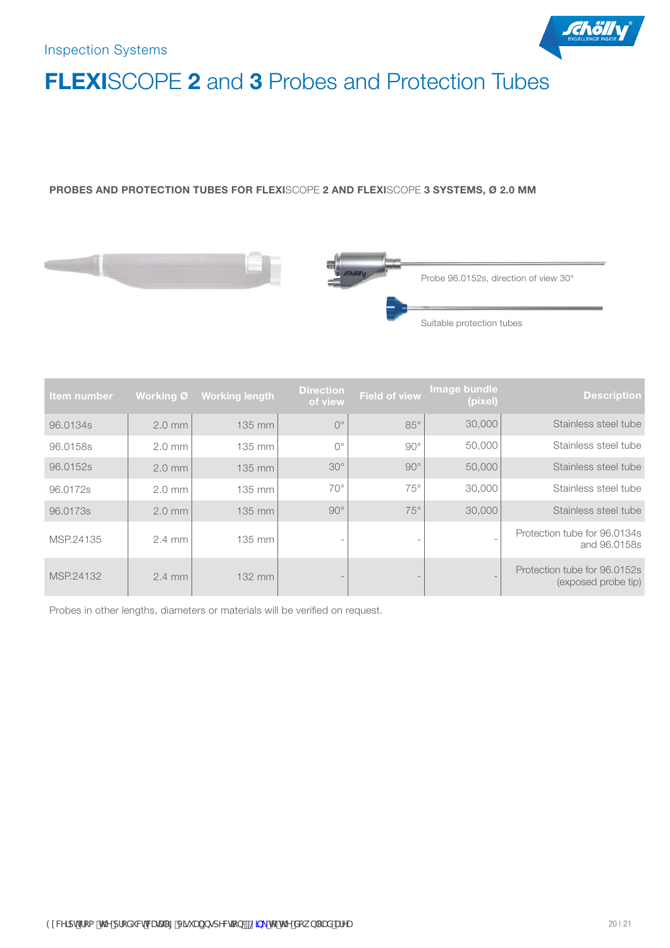

#### PROBES AND PROTECTION TUBES FOR FLEXISCOPE 2 AND FLEXISCOPE 3 SYSTEMS, Ø 2.0 MM





| Item number |                  | Working Ø Working length | <b>Direction</b><br>of view | <b>Field of view</b>     | Image bundle<br>(pixel) | <b>Description</b>                                  |
|-------------|------------------|--------------------------|-----------------------------|--------------------------|-------------------------|-----------------------------------------------------|
| 96.0134s    | $2.0 \text{ mm}$ | 135 mm                   | $O^{\circ}$                 | $85^\circ$               | 30,000                  | Stainless steel tube                                |
| 96.0158s    | $2.0 \text{ mm}$ | 135 mm                   | $O^{\circ}$                 | $90^\circ$               | 50,000                  | Stainless steel tube                                |
| 96.0152s    | $2.0$ mm         | 135 mm                   | $30^\circ$                  | $90^\circ$               | 50,000                  | Stainless steel tube                                |
| 96.0172s    | $2.0 \text{ mm}$ | 135 mm                   | $70^{\circ}$                | $75^\circ$               | 30,000                  | Stainless steel tube                                |
| 96.0173s    | $2.0$ mm         | 135 mm                   | $90^\circ$                  | $75^\circ$               | 30,000                  | Stainless steel tube                                |
| MSP.24135   | $2.4 \text{ mm}$ | 135 mm                   |                             | $\overline{\phantom{a}}$ |                         | Protection tube for 96.0134s<br>and 96,0158s        |
| MSP.24132   | $2.4 \text{ mm}$ | 132 mm                   |                             |                          |                         | Protection tube for 96,0152s<br>(exposed probe tip) |

Probes in other lengths, diameters or materials will be verified on request.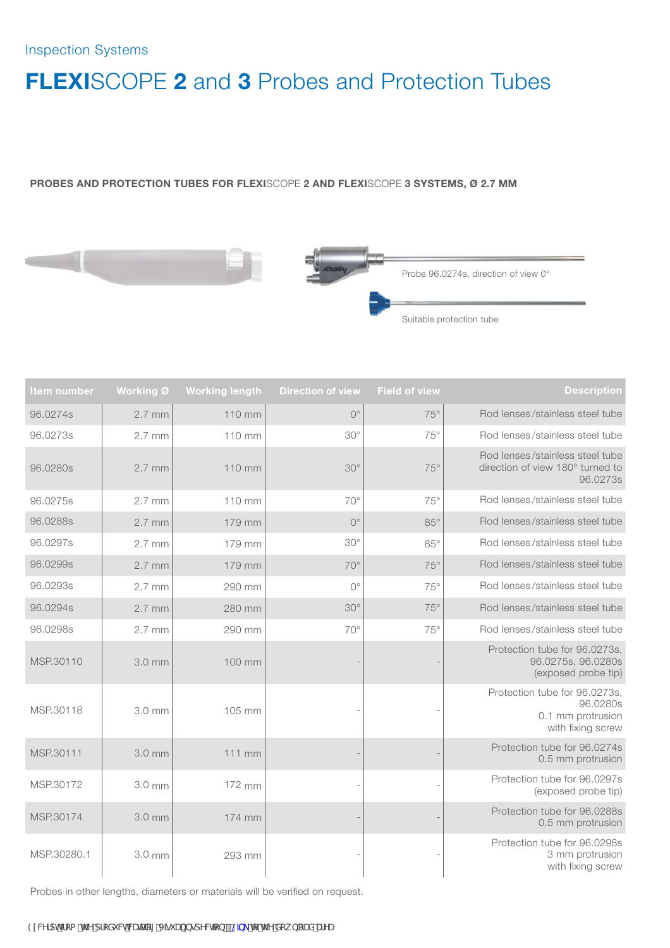#### PROBES AND PROTECTION TUBES FOR FLEXISCOPE 2 AND FLEXISCOPE 3 SYSTEMS, Ø 2.7 MM





| ltem number | Working Ø | <b>Working length</b> | <b>Direction of view</b> | <b>Field of view</b> | <b>Description</b>                                                                  |
|-------------|-----------|-----------------------|--------------------------|----------------------|-------------------------------------------------------------------------------------|
| 96.0274s    | 2.7 mm    | 110 mm                | $O^{\circ}$              | $75^\circ$           | Rod lenses/stainless steel tube                                                     |
| 96.0273s    | $2.7$ mm  | 110 mm                | $30^\circ$               | $75^\circ$           | Rod lenses/stainless steel tube                                                     |
| 96.0280s    | $2.7$ mm  | 110 mm                | $30^\circ$               | $75^\circ$           | Rod lenses/stainless steel tube<br>direction of view 180° turned to<br>96.0273s     |
| 96.0275s    | $2.7$ mm  | $110$ mm              | $70^{\circ}$             | $75^\circ$           | Rod lenses/stainless steel tube                                                     |
| 96.0288s    | $2.7$ mm  | 179 mm                | $O^{\circ}$              | $85^\circ$           | Rod lenses/stainless steel tube                                                     |
| 96.0297s    | $2.7$ mm  | 179 mm                | $30^\circ$               | $85^\circ$           | Rod lenses/stainless steel tube                                                     |
| 96.0299s    | $2.7$ mm  | 179 mm                | $70^{\circ}$             | $75^\circ$           | Rod lenses/stainless steel tube                                                     |
| 96.0293s    | $2.7$ mm  | 290 mm                | $O^{\circ}$              | $75^\circ$           | Rod lenses/stainless steel tube                                                     |
| 96.0294s    | $2.7$ mm  | 280 mm                | $30^\circ$               | $75^\circ$           | Rod lenses/stainless steel tube                                                     |
| 96.0298s    | $2.7$ mm  | 290 mm                | $70^{\circ}$             | 75°                  | Rod lenses/stainless steel tube                                                     |
| MSP.30110   | 3.0 mm    | 100 mm                |                          |                      | Protection tube for 96.0273s,<br>96.0275s, 96.0280s<br>(exposed probe tip)          |
| MSP.30118   | 3.0 mm    | 105 mm                |                          |                      | Protection tube for 96.0273s,<br>96.0280s<br>0.1 mm protrusion<br>with fixing screw |
| MSP.30111   | 3.0 mm    | $111$ mm              |                          |                      | Protection tube for 96.0274s<br>0.5 mm protrusion                                   |
| MSP.30172   | 3.0 mm    | 172 mm                |                          |                      | Protection tube for 96.0297s<br>(exposed probe tip)                                 |
| MSP.30174   | 3.0 mm    | 174 mm                |                          |                      | Protection tube for 96.0288s<br>0.5 mm protrusion                                   |
| MSP.30280.1 | 3.0 mm    | 293 mm                |                          |                      | Protection tube for 96.0298s<br>3 mm protrusion<br>with fixing screw                |

Probes in other lengths, diameters or materials will be verified on request.